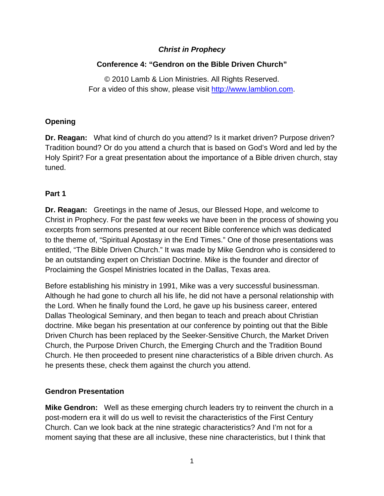## *Christ in Prophecy*

# **Conference 4: "Gendron on the Bible Driven Church"**

© 2010 Lamb & Lion Ministries. All Rights Reserved. For a video of this show, please visit [http://www.lamblion.com](http://www.lamblion.com/).

### **Opening**

**Dr. Reagan:** What kind of church do you attend? Is it market driven? Purpose driven? Tradition bound? Or do you attend a church that is based on God's Word and led by the Holy Spirit? For a great presentation about the importance of a Bible driven church, stay tuned.

### **Part 1**

**Dr. Reagan:** Greetings in the name of Jesus, our Blessed Hope, and welcome to Christ in Prophecy. For the past few weeks we have been in the process of showing you excerpts from sermons presented at our recent Bible conference which was dedicated to the theme of, "Spiritual Apostasy in the End Times." One of those presentations was entitled, "The Bible Driven Church." It was made by Mike Gendron who is considered to be an outstanding expert on Christian Doctrine. Mike is the founder and director of Proclaiming the Gospel Ministries located in the Dallas, Texas area.

Before establishing his ministry in 1991, Mike was a very successful businessman. Although he had gone to church all his life, he did not have a personal relationship with the Lord. When he finally found the Lord, he gave up his business career, entered Dallas Theological Seminary, and then began to teach and preach about Christian doctrine. Mike began his presentation at our conference by pointing out that the Bible Driven Church has been replaced by the Seeker-Sensitive Church, the Market Driven Church, the Purpose Driven Church, the Emerging Church and the Tradition Bound Church. He then proceeded to present nine characteristics of a Bible driven church. As he presents these, check them against the church you attend.

# **Gendron Presentation**

**Mike Gendron:** Well as these emerging church leaders try to reinvent the church in a post-modern era it will do us well to revisit the characteristics of the First Century Church. Can we look back at the nine strategic characteristics? And I'm not for a moment saying that these are all inclusive, these nine characteristics, but I think that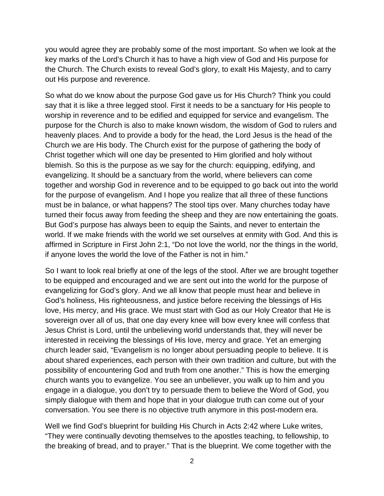you would agree they are probably some of the most important. So when we look at the key marks of the Lord's Church it has to have a high view of God and His purpose for the Church. The Church exists to reveal God's glory, to exalt His Majesty, and to carry out His purpose and reverence.

So what do we know about the purpose God gave us for His Church? Think you could say that it is like a three legged stool. First it needs to be a sanctuary for His people to worship in reverence and to be edified and equipped for service and evangelism. The purpose for the Church is also to make known wisdom, the wisdom of God to rulers and heavenly places. And to provide a body for the head, the Lord Jesus is the head of the Church we are His body. The Church exist for the purpose of gathering the body of Christ together which will one day be presented to Him glorified and holy without blemish. So this is the purpose as we say for the church: equipping, edifying, and evangelizing. It should be a sanctuary from the world, where believers can come together and worship God in reverence and to be equipped to go back out into the world for the purpose of evangelism. And I hope you realize that all three of these functions must be in balance, or what happens? The stool tips over. Many churches today have turned their focus away from feeding the sheep and they are now entertaining the goats. But God's purpose has always been to equip the Saints, and never to entertain the world. If we make friends with the world we set ourselves at enmity with God. And this is affirmed in Scripture in First John 2:1, "Do not love the world, nor the things in the world, if anyone loves the world the love of the Father is not in him."

So I want to look real briefly at one of the legs of the stool. After we are brought together to be equipped and encouraged and we are sent out into the world for the purpose of evangelizing for God's glory. And we all know that people must hear and believe in God's holiness, His righteousness, and justice before receiving the blessings of His love, His mercy, and His grace. We must start with God as our Holy Creator that He is sovereign over all of us, that one day every knee will bow every knee will confess that Jesus Christ is Lord, until the unbelieving world understands that, they will never be interested in receiving the blessings of His love, mercy and grace. Yet an emerging church leader said, "Evangelism is no longer about persuading people to believe. It is about shared experiences, each person with their own tradition and culture, but with the possibility of encountering God and truth from one another." This is how the emerging church wants you to evangelize. You see an unbeliever, you walk up to him and you engage in a dialogue, you don't try to persuade them to believe the Word of God, you simply dialogue with them and hope that in your dialogue truth can come out of your conversation. You see there is no objective truth anymore in this post-modern era.

Well we find God's blueprint for building His Church in Acts 2:42 where Luke writes, "They were continually devoting themselves to the apostles teaching, to fellowship, to the breaking of bread, and to prayer." That is the blueprint. We come together with the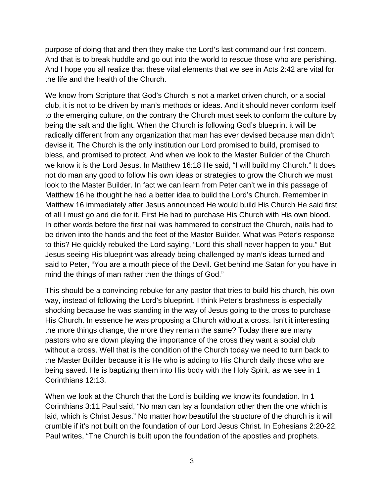purpose of doing that and then they make the Lord's last command our first concern. And that is to break huddle and go out into the world to rescue those who are perishing. And I hope you all realize that these vital elements that we see in Acts 2:42 are vital for the life and the health of the Church.

We know from Scripture that God's Church is not a market driven church, or a social club, it is not to be driven by man's methods or ideas. And it should never conform itself to the emerging culture, on the contrary the Church must seek to conform the culture by being the salt and the light. When the Church is following God's blueprint it will be radically different from any organization that man has ever devised because man didn't devise it. The Church is the only institution our Lord promised to build, promised to bless, and promised to protect. And when we look to the Master Builder of the Church we know it is the Lord Jesus. In Matthew 16:18 He said, "I will build my Church." It does not do man any good to follow his own ideas or strategies to grow the Church we must look to the Master Builder. In fact we can learn from Peter can't we in this passage of Matthew 16 he thought he had a better idea to build the Lord's Church. Remember in Matthew 16 immediately after Jesus announced He would build His Church He said first of all I must go and die for it. First He had to purchase His Church with His own blood. In other words before the first nail was hammered to construct the Church, nails had to be driven into the hands and the feet of the Master Builder. What was Peter's response to this? He quickly rebuked the Lord saying, "Lord this shall never happen to you." But Jesus seeing His blueprint was already being challenged by man's ideas turned and said to Peter, "You are a mouth piece of the Devil. Get behind me Satan for you have in mind the things of man rather then the things of God."

This should be a convincing rebuke for any pastor that tries to build his church, his own way, instead of following the Lord's blueprint. I think Peter's brashness is especially shocking because he was standing in the way of Jesus going to the cross to purchase His Church. In essence he was proposing a Church without a cross. Isn't it interesting the more things change, the more they remain the same? Today there are many pastors who are down playing the importance of the cross they want a social club without a cross. Well that is the condition of the Church today we need to turn back to the Master Builder because it is He who is adding to His Church daily those who are being saved. He is baptizing them into His body with the Holy Spirit, as we see in 1 Corinthians 12:13.

When we look at the Church that the Lord is building we know its foundation. In 1 Corinthians 3:11 Paul said, "No man can lay a foundation other then the one which is laid, which is Christ Jesus." No matter how beautiful the structure of the church is it will crumble if it's not built on the foundation of our Lord Jesus Christ. In Ephesians 2:20-22, Paul writes, "The Church is built upon the foundation of the apostles and prophets.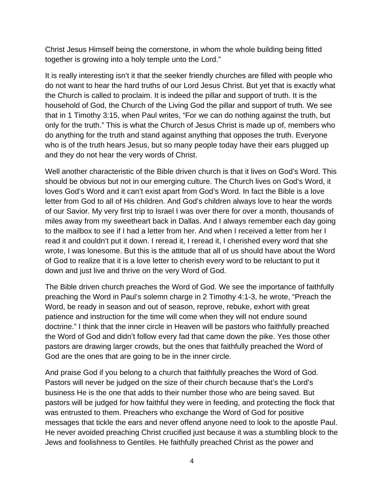Christ Jesus Himself being the cornerstone, in whom the whole building being fitted together is growing into a holy temple unto the Lord."

It is really interesting isn't it that the seeker friendly churches are filled with people who do not want to hear the hard truths of our Lord Jesus Christ. But yet that is exactly what the Church is called to proclaim. It is indeed the pillar and support of truth. It is the household of God, the Church of the Living God the pillar and support of truth. We see that in 1 Timothy 3:15, when Paul writes, "For we can do nothing against the truth, but only for the truth." This is what the Church of Jesus Christ is made up of, members who do anything for the truth and stand against anything that opposes the truth. Everyone who is of the truth hears Jesus, but so many people today have their ears plugged up and they do not hear the very words of Christ.

Well another characteristic of the Bible driven church is that it lives on God's Word. This should be obvious but not in our emerging culture. The Church lives on God's Word, it loves God's Word and it can't exist apart from God's Word. In fact the Bible is a love letter from God to all of His children. And God's children always love to hear the words of our Savior. My very first trip to Israel I was over there for over a month, thousands of miles away from my sweetheart back in Dallas. And I always remember each day going to the mailbox to see if I had a letter from her. And when I received a letter from her I read it and couldn't put it down. I reread it, I reread it, I cherished every word that she wrote, I was lonesome. But this is the attitude that all of us should have about the Word of God to realize that it is a love letter to cherish every word to be reluctant to put it down and just live and thrive on the very Word of God.

The Bible driven church preaches the Word of God. We see the importance of faithfully preaching the Word in Paul's solemn charge in 2 Timothy 4:1-3, he wrote, "Preach the Word, be ready in season and out of season, reprove, rebuke, exhort with great patience and instruction for the time will come when they will not endure sound doctrine." I think that the inner circle in Heaven will be pastors who faithfully preached the Word of God and didn't follow every fad that came down the pike. Yes those other pastors are drawing larger crowds, but the ones that faithfully preached the Word of God are the ones that are going to be in the inner circle.

And praise God if you belong to a church that faithfully preaches the Word of God. Pastors will never be judged on the size of their church because that's the Lord's business He is the one that adds to their number those who are being saved. But pastors will be judged for how faithful they were in feeding, and protecting the flock that was entrusted to them. Preachers who exchange the Word of God for positive messages that tickle the ears and never offend anyone need to look to the apostle Paul. He never avoided preaching Christ crucified just because it was a stumbling block to the Jews and foolishness to Gentiles. He faithfully preached Christ as the power and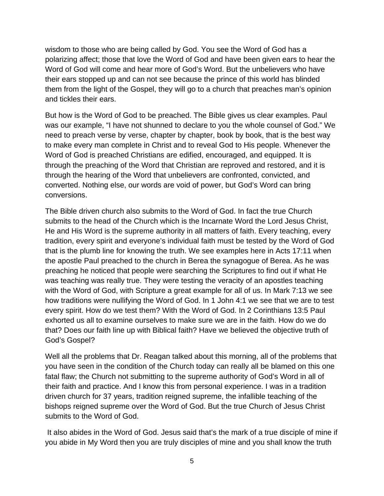wisdom to those who are being called by God. You see the Word of God has a polarizing affect; those that love the Word of God and have been given ears to hear the Word of God will come and hear more of God's Word. But the unbelievers who have their ears stopped up and can not see because the prince of this world has blinded them from the light of the Gospel, they will go to a church that preaches man's opinion and tickles their ears.

But how is the Word of God to be preached. The Bible gives us clear examples. Paul was our example, "I have not shunned to declare to you the whole counsel of God." We need to preach verse by verse, chapter by chapter, book by book, that is the best way to make every man complete in Christ and to reveal God to His people. Whenever the Word of God is preached Christians are edified, encouraged, and equipped. It is through the preaching of the Word that Christian are reproved and restored, and it is through the hearing of the Word that unbelievers are confronted, convicted, and converted. Nothing else, our words are void of power, but God's Word can bring conversions.

The Bible driven church also submits to the Word of God. In fact the true Church submits to the head of the Church which is the Incarnate Word the Lord Jesus Christ, He and His Word is the supreme authority in all matters of faith. Every teaching, every tradition, every spirit and everyone's individual faith must be tested by the Word of God that is the plumb line for knowing the truth. We see examples here in Acts 17:11 when the apostle Paul preached to the church in Berea the synagogue of Berea. As he was preaching he noticed that people were searching the Scriptures to find out if what He was teaching was really true. They were testing the veracity of an apostles teaching with the Word of God, with Scripture a great example for all of us. In Mark 7:13 we see how traditions were nullifying the Word of God. In 1 John 4:1 we see that we are to test every spirit. How do we test them? With the Word of God. In 2 Corinthians 13:5 Paul exhorted us all to examine ourselves to make sure we are in the faith. How do we do that? Does our faith line up with Biblical faith? Have we believed the objective truth of God's Gospel?

Well all the problems that Dr. Reagan talked about this morning, all of the problems that you have seen in the condition of the Church today can really all be blamed on this one fatal flaw; the Church not submitting to the supreme authority of God's Word in all of their faith and practice. And I know this from personal experience. I was in a tradition driven church for 37 years, tradition reigned supreme, the infallible teaching of the bishops reigned supreme over the Word of God. But the true Church of Jesus Christ submits to the Word of God.

 It also abides in the Word of God. Jesus said that's the mark of a true disciple of mine if you abide in My Word then you are truly disciples of mine and you shall know the truth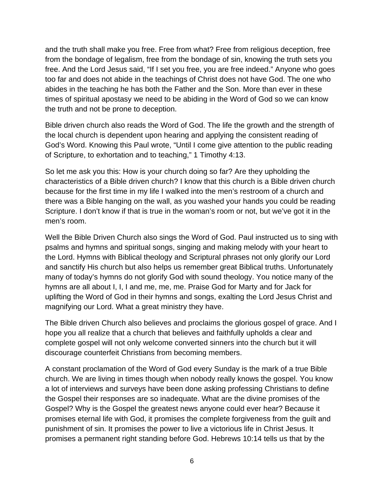and the truth shall make you free. Free from what? Free from religious deception, free from the bondage of legalism, free from the bondage of sin, knowing the truth sets you free. And the Lord Jesus said, "If I set you free, you are free indeed." Anyone who goes too far and does not abide in the teachings of Christ does not have God. The one who abides in the teaching he has both the Father and the Son. More than ever in these times of spiritual apostasy we need to be abiding in the Word of God so we can know the truth and not be prone to deception.

Bible driven church also reads the Word of God. The life the growth and the strength of the local church is dependent upon hearing and applying the consistent reading of God's Word. Knowing this Paul wrote, "Until I come give attention to the public reading of Scripture, to exhortation and to teaching," 1 Timothy 4:13.

So let me ask you this: How is your church doing so far? Are they upholding the characteristics of a Bible driven church? I know that this church is a Bible driven church because for the first time in my life I walked into the men's restroom of a church and there was a Bible hanging on the wall, as you washed your hands you could be reading Scripture. I don't know if that is true in the woman's room or not, but we've got it in the men's room.

Well the Bible Driven Church also sings the Word of God. Paul instructed us to sing with psalms and hymns and spiritual songs, singing and making melody with your heart to the Lord. Hymns with Biblical theology and Scriptural phrases not only glorify our Lord and sanctify His church but also helps us remember great Biblical truths. Unfortunately many of today's hymns do not glorify God with sound theology. You notice many of the hymns are all about I, I, I and me, me, me. Praise God for Marty and for Jack for uplifting the Word of God in their hymns and songs, exalting the Lord Jesus Christ and magnifying our Lord. What a great ministry they have.

The Bible driven Church also believes and proclaims the glorious gospel of grace. And I hope you all realize that a church that believes and faithfully upholds a clear and complete gospel will not only welcome converted sinners into the church but it will discourage counterfeit Christians from becoming members.

A constant proclamation of the Word of God every Sunday is the mark of a true Bible church. We are living in times though when nobody really knows the gospel. You know a lot of interviews and surveys have been done asking professing Christians to define the Gospel their responses are so inadequate. What are the divine promises of the Gospel? Why is the Gospel the greatest news anyone could ever hear? Because it promises eternal life with God, it promises the complete forgiveness from the guilt and punishment of sin. It promises the power to live a victorious life in Christ Jesus. It promises a permanent right standing before God. Hebrews 10:14 tells us that by the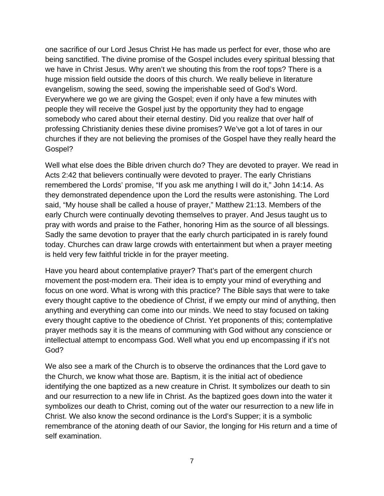one sacrifice of our Lord Jesus Christ He has made us perfect for ever, those who are being sanctified. The divine promise of the Gospel includes every spiritual blessing that we have in Christ Jesus. Why aren't we shouting this from the roof tops? There is a huge mission field outside the doors of this church. We really believe in literature evangelism, sowing the seed, sowing the imperishable seed of God's Word. Everywhere we go we are giving the Gospel; even if only have a few minutes with people they will receive the Gospel just by the opportunity they had to engage somebody who cared about their eternal destiny. Did you realize that over half of professing Christianity denies these divine promises? We've got a lot of tares in our churches if they are not believing the promises of the Gospel have they really heard the Gospel?

Well what else does the Bible driven church do? They are devoted to prayer. We read in Acts 2:42 that believers continually were devoted to prayer. The early Christians remembered the Lords' promise, "If you ask me anything I will do it," John 14:14. As they demonstrated dependence upon the Lord the results were astonishing. The Lord said, "My house shall be called a house of prayer," Matthew 21:13. Members of the early Church were continually devoting themselves to prayer. And Jesus taught us to pray with words and praise to the Father, honoring Him as the source of all blessings. Sadly the same devotion to prayer that the early church participated in is rarely found today. Churches can draw large crowds with entertainment but when a prayer meeting is held very few faithful trickle in for the prayer meeting.

Have you heard about contemplative prayer? That's part of the emergent church movement the post-modern era. Their idea is to empty your mind of everything and focus on one word. What is wrong with this practice? The Bible says that were to take every thought captive to the obedience of Christ, if we empty our mind of anything, then anything and everything can come into our minds. We need to stay focused on taking every thought captive to the obedience of Christ. Yet proponents of this; contemplative prayer methods say it is the means of communing with God without any conscience or intellectual attempt to encompass God. Well what you end up encompassing if it's not God?

We also see a mark of the Church is to observe the ordinances that the Lord gave to the Church, we know what those are. Baptism, it is the initial act of obedience identifying the one baptized as a new creature in Christ. It symbolizes our death to sin and our resurrection to a new life in Christ. As the baptized goes down into the water it symbolizes our death to Christ, coming out of the water our resurrection to a new life in Christ. We also know the second ordinance is the Lord's Supper; it is a symbolic remembrance of the atoning death of our Savior, the longing for His return and a time of self examination.